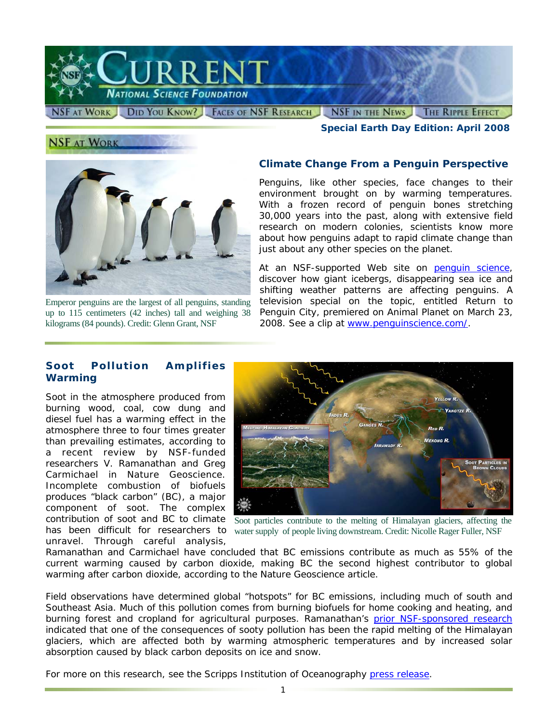

*Special Earth Day Edition: April 2008* 

# **NSF AT WORK**



Emperor penguins are the largest of all penguins, standing up to 115 centimeters (42 inches) tall and weighing 38

#### **Climate Change From a Penguin Perspective**

Penguins, like other species, face changes to their environment brought on by warming temperatures. With a frozen record of penguin bones stretching 30,000 years into the past, along with extensive field research on modern colonies, scientists know more about how penguins adapt to rapid climate change than just about any other species on the planet.

At an NSF-supported Web site on [penguin science,](http://www.nsf.gov/cgi-bin/goodbye?http://www.penguinscience.com/) discover how giant icebergs, disappearing sea ice and shifting weather patterns are affecting penguins. A television special on the topic, entitled *Return to* Penguin City, premiered on Animal Planet on March 23, kilograms (84 pounds). Credit: Glenn Grant, NSF 2008. See a clip at [www.penguinscience.com/](http://www.nsf.gov/cgi-bin/goodbye?http://www.penguinscience.com/).

#### **Soot Pollution Amplifies Warming**

 researchers V. Ramanathan and Greg Soot in the atmosphere produced from burning wood, coal, cow dung and diesel fuel has a warming effect in the atmosphere three to four times greater than prevailing estimates, according to a recent review by NSF-funded Carmichael in *Nature Geoscience*. Incomplete combustion of biofuels produces "black carbon" (BC), a major component of soot. The complex contribution of soot and BC to climate unravel. Through careful analysis,



has been difficult for researchers to water supply of people living downstream. Credit: Nicolle Rager Fuller, NSF Soot particles contribute to the melting of Himalayan glaciers, affecting the

Ramanathan and Carmichael have concluded that BC emissions contribute as much as 55% of the current warming caused by carbon dioxide, making BC the second highest contributor to global warming after carbon dioxide, according to the *Nature Geoscience* article.

Field observations have determined global "hotspots" for BC emissions, including much of south and Southeast Asia. Much of this pollution comes from burning biofuels for home cooking and heating, and burning forest and cropland for agricultural purposes. Ramanathan's prior NSF-sponsored research indicated that one of the consequences of sooty pollution has been the rapid melting of the Himalayan glaciers, which are affected both by warming atmospheric temperatures and by increased solar absorption caused by black carbon deposits on ice and snow.

For more on this research, see the Scripps Institution of Oceanography [press release.](http://www.nsf.gov/cgi-bin/goodbye?http://scrippsnews.ucsd.edu/Releases/?releaseID=891)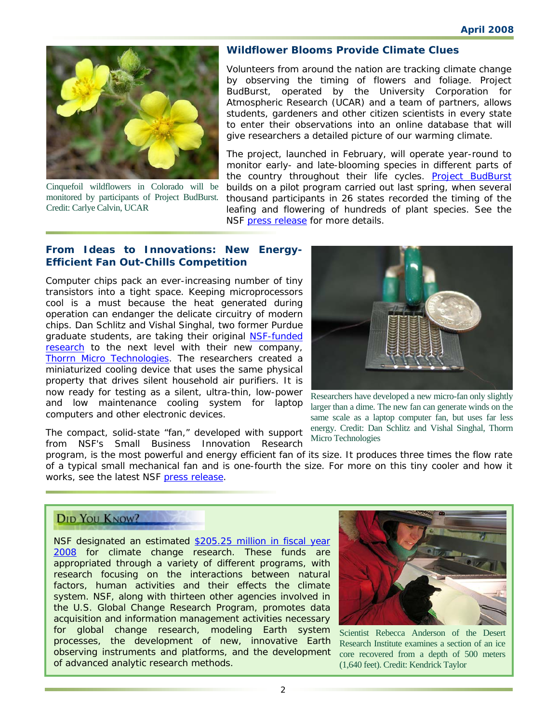

 monitored by participants of Project BudBurst. Cinquefoil wildflowers in Colorado will be Credit: Carlye Calvin, UCAR

#### **Wildflower Blooms Provide Climate Clues**

Volunteers from around the nation are tracking climate change by observing the timing of flowers and foliage. Project BudBurst, operated by the University Corporation for Atmospheric Research (UCAR) and a team of partners, allows students, gardeners and other citizen scientists in every state to enter their observations into an online database that will give researchers a detailed picture of our warming climate.

The project, launched in February, will operate year-round to monitor early- and late-blooming species in different parts of the country throughout their life cycles. Project BudBurst builds on a pilot program carried out last spring, when several thousand participants in 26 states recorded the timing of the leafing and flowering of hundreds of plant species. See the NSF [press release f](http://www.nsf.gov/news/news_summ.jsp?cntn_id=111117&org=NSF&from=news)or more details.

#### **From Ideas to Innovations: New Energy-Efficient Fan Out-Chills Competition**

 miniaturized cooling device that uses the same physical Computer chips pack an ever-increasing number of tiny transistors into a tight space. Keeping microprocessors cool is a must because the heat generated during operation can endanger the delicate circuitry of modern chips. Dan Schlitz and Vishal Singhal, two former Purdue graduate students, are taking their original NSF-funded [research](http://www.nsf.gov/news/news_summ.jsp?cntn_id=100354) to the next level with their new company, [Thorrn Micro Technologies.](http://www.nsf.gov/cgi-bin/goodbye?http://www.thorrn.com/) The researchers created a property that drives silent household air purifiers. It is now ready for testing as a silent, ultra-thin, low-power and low maintenance cooling system for laptop computers and other electronic devices.

The compact, solid-state "fan," developed with support from NSF's Small Business Innovation Research



 Researchers have developed a new micro-fan only slightly larger than a dime. The new fan can generate winds on the same scale as a laptop computer fan, but uses far less energy. Credit: Dan Schlitz and Vishal Singhal, Thorrn Micro Technologies

 of a typical small mechanical fan and is one-fourth the size. For more on this tiny cooler and how it program, is the most powerful and energy efficient fan of its size. It produces three times the flow rate works, see the latest NSF [press release.](http://www.nsf.gov/news/news_summ.jsp?cntn_id=111293&org=NSF&from=news)

# **DID YOU KNOW?**

NSF designated an estimated [\\$205.25 million in fiscal year](http://www.nsf.gov/about/budget/fy2008/pdf/38_fy2008.pdf)  [2008](http://www.nsf.gov/about/budget/fy2008/pdf/38_fy2008.pdf) for climate change research. These funds are appropriated through a variety of different programs, with research focusing on the interactions between natural factors, human activities and their effects the climate system. NSF, along with thirteen other agencies involved in the U.S. Global Change Research Program, promotes data acquisition and information management activities necessary for global change research, modeling Earth system processes, the development of new, innovative Earth observing instruments and platforms, and the development of advanced analytic research methods.



 Research Institute examines a section of an ice Scientist Rebecca Anderson of the Desert core recovered from a depth of 500 meters (1,640 feet). Credit: Kendrick Taylor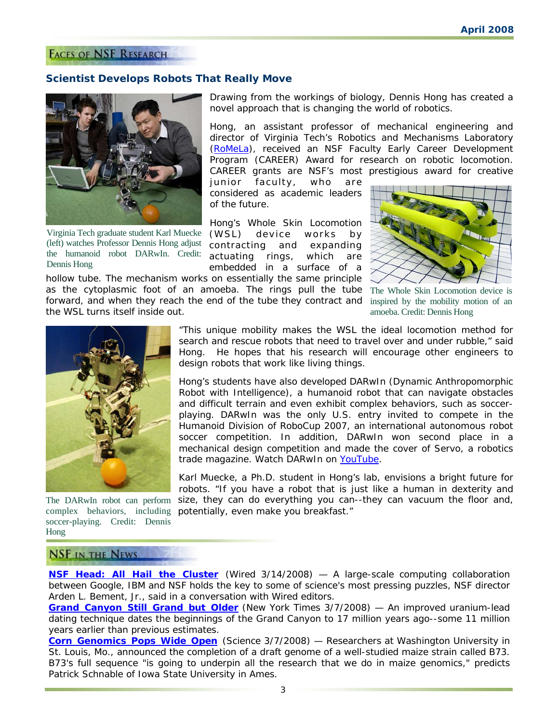## **FACES OF NSF RESEARCH**

#### **Scientist Develops Robots That Really Move**

hollow tube. The mechanism works on essentially the same principle



 Virginia Tech graduate student Karl Muecke (left) watches Professor Dennis Hong adjust the humanoid robot DARwIn. Credit: Dennis Hong

the WSL turns itself inside out.

Drawing from the workings of biology, Dennis Hong has created a novel approach that is changing the world of robotics.

Program (CAREER) Award for research on robotic locomotion. Hong, an assistant professor of mechanical engineering and director of Virginia Tech's Robotics and Mechanisms Laboratory [\(RoMeLa\)](http://www.nsf.gov/cgi-bin/goodbye?http://www.me.vt.edu/romela/RoMeLa/RoMeLa.html#Frame_1), received an NSF Faculty Early Career Development CAREER grants are NSF's most prestigious award for creative

junior faculty, who are considered as academic leaders of the future.

Hong's Whole Skin Locomotion (WSL) device works by contracting and expanding actuating rings, which are embedded in a surface of a



as the cytoplasmic foot of an amoeba. The rings pull the tube The Whole Skin Locomotion device is forward, and when they reach the end of the tube they contract and inspired by the mobility motion of an amoeba. Credit: Dennis Hong



The DARwIn robot can perform complex behaviors, including soccer-playing. Credit: Dennis Hong

 "This unique mobility makes the WSL the ideal locomotion method for search and rescue robots that need to travel over and under rubble," said Hong. He hopes that his research will encourage other engineers to design robots that work like living things.

Hong's students have also developed DARwIn (Dynamic Anthropomorphic Robot with Intelligence), a humanoid robot that can navigate obstacles and difficult terrain and even exhibit complex behaviors, such as soccerplaying. DARwIn was the only U.S. entry invited to compete in the Humanoid Division of RoboCup 2007, an international autonomous robot soccer competition. In addition, DARwIn won second place in a mechanical design competition and made the cover of *Servo*, a robotics trade magazine. Watch DARwIn on [YouTube.](http://www.nsf.gov/cgi-bin/goodbye?http://www.youtube.com/watch?v=klBjbDVftJw&eurl=http://ai-depot.com/articles/inside-darwin-the-humanoid-robot/)

Karl Muecke, a Ph.D. student in Hong's lab, envisions a bright future for robots. "If you have a robot that is just like a human in dexterity and size, they can do everything you can--they can vacuum the floor and, potentially, even make you breakfast."

# **NSF IN THE NEWS**

**[NSF Head: All Hail the Cluster](http://www.nsf.gov/cgi-bin/goodbye?http://blog.wired.com/wiredscience/2008/03/nsf-head-cluste.html)** (*Wired 3/14/2008*) — A large-scale computing collaboration between Google, IBM and NSF holds the key to some of science's most pressing puzzles, NSF director Arden L. Bement, Jr., said in a conversation with *Wired* editors.

**[Grand Canyon Still Grand but Older](http://www.nsf.gov/cgi-bin/goodbye?http://www.nytimes.com/2008/03/07/science/07canyon.html?ref=us)** (*New York Times 3/7/2008*) — An improved uranium-lead dating technique dates the beginnings of the Grand Canyon to 17 million years ago--some 11 million years earlier than previous estimates.

St. Louis, Mo., announced the completion of a draft genome of a well-studied maize strain called B73. Patrick Schnable of Iowa State University in Ames. **[Corn Genomics Pops Wide Open](http://www.nsf.gov/cgi-bin/goodbye?http://www.sciencemag.org/cgi/content/full/319/5868/1333)** (*Science 3/7/2008*) — Researchers at Washington University in B73's full sequence "is going to underpin all the research that we do in maize genomics," predicts